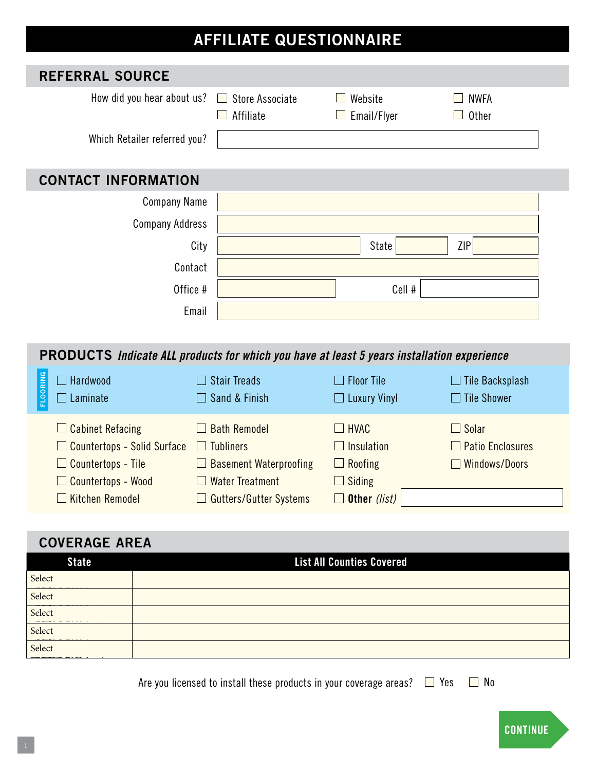## **AFFILIATE QUESTIONNAIRE**

| <b>REFERRAL SOURCE</b>                                                                            |                                                     |                        |                             |  |  |  |
|---------------------------------------------------------------------------------------------------|-----------------------------------------------------|------------------------|-----------------------------|--|--|--|
| How did you hear about us?                                                                        | <b>Store Associate</b><br>$\mathbf{L}$<br>Affiliate | Website<br>Email/Flyer | <b>NWFA</b><br><b>Other</b> |  |  |  |
| Which Retailer referred you?                                                                      |                                                     |                        |                             |  |  |  |
| <b>CONTACT INFORMATION</b>                                                                        |                                                     |                        |                             |  |  |  |
| <b>Company Name</b>                                                                               |                                                     |                        |                             |  |  |  |
| <b>Company Address</b>                                                                            |                                                     |                        |                             |  |  |  |
|                                                                                                   | City                                                | State                  | ZIP                         |  |  |  |
|                                                                                                   | Contact                                             |                        |                             |  |  |  |
|                                                                                                   | Office #                                            | Cell #                 |                             |  |  |  |
|                                                                                                   | Email                                               |                        |                             |  |  |  |
|                                                                                                   |                                                     |                        |                             |  |  |  |
| <b>PRODUCTS</b> Indicate ALL products for which you have at least 5 years installation experience |                                                     |                        |                             |  |  |  |
| $\Box$ Hardwood                                                                                   | <b>Stair Treads</b>                                 | $\Box$ Floor Tile      | $\Box$ Tile Backsplash      |  |  |  |
| <b>FLOORING</b><br>Laminate                                                                       | Sand & Finish                                       | $\Box$ Luxury Vinyl    | $\Box$ Tile Shower          |  |  |  |
| $\Box$ Cabinet Refacing                                                                           | <b>Bath Remodel</b><br>$\mathbf{L}$                 | $\Box$ HVAC            | $\Box$ Solar                |  |  |  |
| $\Box$ Countertops - Solid Surface $\Box$ Tubliners                                               |                                                     | Insulation             | $\Box$ Patio Enclosures     |  |  |  |
| $\Box$ Countertops - Tile                                                                         | $\Box$ Basement Waterproofing                       | $\Box$ Roofing         | Windows/Doors               |  |  |  |
| $\Box$ Countertops - Wood                                                                         | $\Box$ Water Treatment                              | $\Box$ Siding          |                             |  |  |  |
| $\Box$ Kitchen Remodel                                                                            | □ Gutters/Gutter Systems                            | $\Box$ Other (list)    |                             |  |  |  |
|                                                                                                   |                                                     |                        |                             |  |  |  |
| <b>COVERAGE AREA</b><br><b>List All Counties Covered</b><br><b>State</b>                          |                                                     |                        |                             |  |  |  |
| Select                                                                                            |                                                     |                        |                             |  |  |  |
| Select                                                                                            |                                                     |                        |                             |  |  |  |
| Select                                                                                            |                                                     |                        |                             |  |  |  |
| Select                                                                                            |                                                     |                        |                             |  |  |  |
| Select                                                                                            |                                                     |                        |                             |  |  |  |

Are you licensed to install these products in your coverage areas?  $\Box$  Yes  $\Box$  No